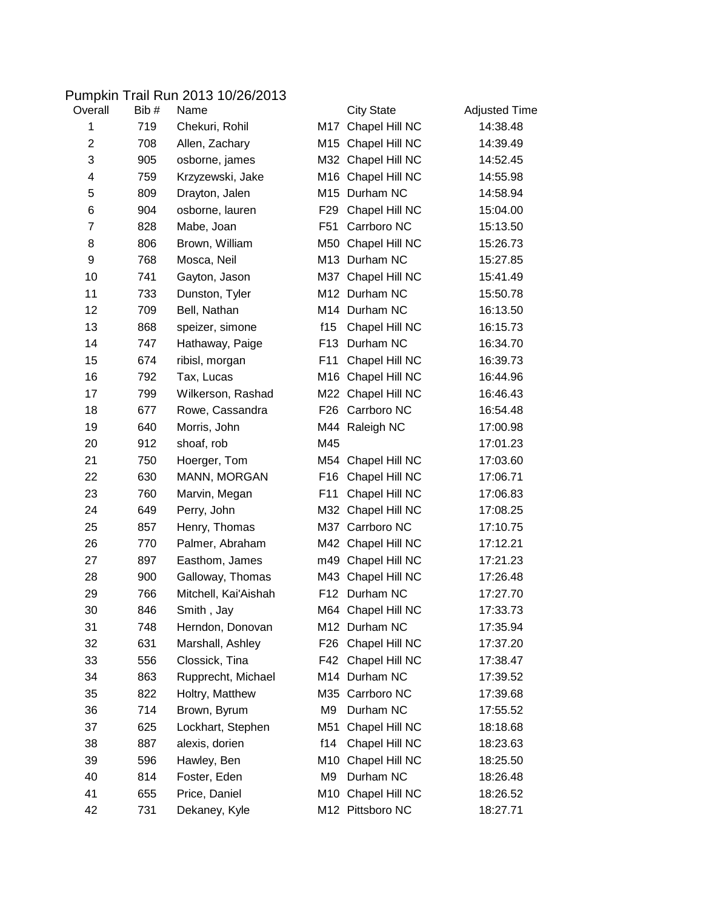## Pumpkin Trail Run 2013 10/26/2013

| Overall        | Bib # | Name                 |                 | <b>City State</b>  | <b>Adjusted Time</b> |
|----------------|-------|----------------------|-----------------|--------------------|----------------------|
| 1              | 719   | Chekuri, Rohil       | M17             | Chapel Hill NC     | 14:38.48             |
| $\overline{2}$ | 708   | Allen, Zachary       |                 | M15 Chapel Hill NC | 14:39.49             |
| 3              | 905   | osborne, james       |                 | M32 Chapel Hill NC | 14:52.45             |
| 4              | 759   | Krzyzewski, Jake     |                 | M16 Chapel Hill NC | 14:55.98             |
| 5              | 809   | Drayton, Jalen       |                 | M15 Durham NC      | 14:58.94             |
| 6              | 904   | osborne, lauren      | F <sub>29</sub> | Chapel Hill NC     | 15:04.00             |
| 7              | 828   | Mabe, Joan           | F51             | Carrboro NC        | 15:13.50             |
| 8              | 806   | Brown, William       |                 | M50 Chapel Hill NC | 15:26.73             |
| 9              | 768   | Mosca, Neil          |                 | M13 Durham NC      | 15:27.85             |
| 10             | 741   | Gayton, Jason        |                 | M37 Chapel Hill NC | 15:41.49             |
| 11             | 733   | Dunston, Tyler       |                 | M12 Durham NC      | 15:50.78             |
| 12             | 709   | Bell, Nathan         |                 | M14 Durham NC      | 16:13.50             |
| 13             | 868   | speizer, simone      | f15             | Chapel Hill NC     | 16:15.73             |
| 14             | 747   | Hathaway, Paige      |                 | F13 Durham NC      | 16:34.70             |
| 15             | 674   | ribisl, morgan       | F11             | Chapel Hill NC     | 16:39.73             |
| 16             | 792   | Tax, Lucas           |                 | M16 Chapel Hill NC | 16:44.96             |
| 17             | 799   | Wilkerson, Rashad    |                 | M22 Chapel Hill NC | 16:46.43             |
| 18             | 677   | Rowe, Cassandra      |                 | F26 Carrboro NC    | 16:54.48             |
| 19             | 640   | Morris, John         |                 | M44 Raleigh NC     | 17:00.98             |
| 20             | 912   | shoaf, rob           | M45             |                    | 17:01.23             |
| 21             | 750   | Hoerger, Tom         |                 | M54 Chapel Hill NC | 17:03.60             |
| 22             | 630   | MANN, MORGAN         | F16             | Chapel Hill NC     | 17:06.71             |
| 23             | 760   | Marvin, Megan        | F11             | Chapel Hill NC     | 17:06.83             |
| 24             | 649   | Perry, John          |                 | M32 Chapel Hill NC | 17:08.25             |
| 25             | 857   | Henry, Thomas        |                 | M37 Carrboro NC    | 17:10.75             |
| 26             | 770   | Palmer, Abraham      |                 | M42 Chapel Hill NC | 17:12.21             |
| 27             | 897   | Easthom, James       |                 | m49 Chapel Hill NC | 17:21.23             |
| 28             | 900   | Galloway, Thomas     |                 | M43 Chapel Hill NC | 17:26.48             |
| 29             | 766   | Mitchell, Kai'Aishah | F <sub>12</sub> | Durham NC          | 17:27.70             |
| 30             | 846   | Smith, Jay           |                 | M64 Chapel Hill NC | 17:33.73             |
| 31             | 748   | Herndon, Donovan     |                 | M12 Durham NC      | 17:35.94             |
| 32             | 631   | Marshall, Ashley     | F26             | Chapel Hill NC     | 17:37.20             |
| 33             | 556   | Clossick, Tina       |                 | F42 Chapel Hill NC | 17:38.47             |
| 34             | 863   | Rupprecht, Michael   |                 | M14 Durham NC      | 17:39.52             |
| 35             | 822   | Holtry, Matthew      |                 | M35 Carrboro NC    | 17:39.68             |
| 36             | 714   | Brown, Byrum         | M9              | Durham NC          | 17:55.52             |
| 37             | 625   | Lockhart, Stephen    | M51             | Chapel Hill NC     | 18:18.68             |
| 38             | 887   | alexis, dorien       | f14             | Chapel Hill NC     | 18:23.63             |
| 39             | 596   | Hawley, Ben          | M10             | Chapel Hill NC     | 18:25.50             |
| 40             | 814   | Foster, Eden         | M9              | Durham NC          | 18:26.48             |
| 41             | 655   | Price, Daniel        | M10             | Chapel Hill NC     | 18:26.52             |
| 42             | 731   | Dekaney, Kyle        |                 | M12 Pittsboro NC   | 18:27.71             |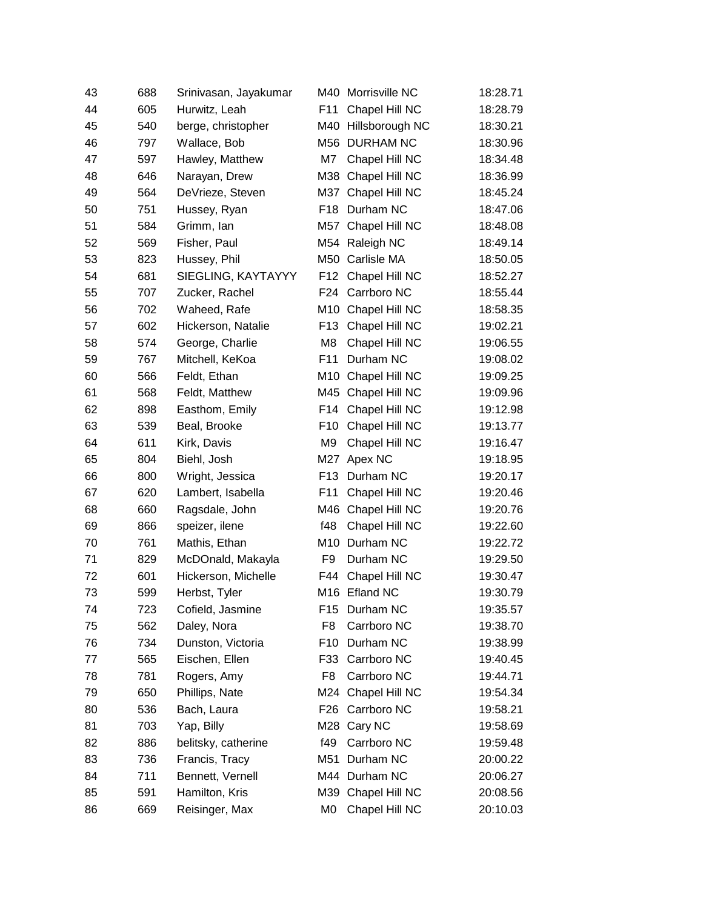| 43 | 688 | Srinivasan, Jayakumar | M40             | Morrisville NC      | 18:28.71 |
|----|-----|-----------------------|-----------------|---------------------|----------|
| 44 | 605 | Hurwitz, Leah         | F11             | Chapel Hill NC      | 18:28.79 |
| 45 | 540 | berge, christopher    |                 | M40 Hillsborough NC | 18:30.21 |
| 46 | 797 | Wallace, Bob          |                 | M56 DURHAM NC       | 18:30.96 |
| 47 | 597 | Hawley, Matthew       | M7              | Chapel Hill NC      | 18:34.48 |
| 48 | 646 | Narayan, Drew         | M38             | Chapel Hill NC      | 18:36.99 |
| 49 | 564 | DeVrieze, Steven      | M37             | Chapel Hill NC      | 18:45.24 |
| 50 | 751 | Hussey, Ryan          | F <sub>18</sub> | Durham NC           | 18:47.06 |
| 51 | 584 | Grimm, Ian            | M57             | Chapel Hill NC      | 18:48.08 |
| 52 | 569 | Fisher, Paul          |                 | M54 Raleigh NC      | 18:49.14 |
| 53 | 823 | Hussey, Phil          | M50             | Carlisle MA         | 18:50.05 |
| 54 | 681 | SIEGLING, KAYTAYYY    | F12             | Chapel Hill NC      | 18:52.27 |
| 55 | 707 | Zucker, Rachel        | F24             | Carrboro NC         | 18:55.44 |
| 56 | 702 | Waheed, Rafe          | M10             | Chapel Hill NC      | 18:58.35 |
| 57 | 602 | Hickerson, Natalie    | F <sub>13</sub> | Chapel Hill NC      | 19:02.21 |
| 58 | 574 | George, Charlie       | M <sub>8</sub>  | Chapel Hill NC      | 19:06.55 |
| 59 | 767 | Mitchell, KeKoa       | F11             | Durham NC           | 19:08.02 |
| 60 | 566 | Feldt, Ethan          | M10             | Chapel Hill NC      | 19:09.25 |
| 61 | 568 | Feldt, Matthew        | M45             | Chapel Hill NC      | 19:09.96 |
| 62 | 898 | Easthom, Emily        | F14             | Chapel Hill NC      | 19:12.98 |
| 63 | 539 | Beal, Brooke          | F <sub>10</sub> | Chapel Hill NC      | 19:13.77 |
| 64 | 611 | Kirk, Davis           | M9              | Chapel Hill NC      | 19:16.47 |
| 65 | 804 | Biehl, Josh           | M27             | Apex NC             | 19:18.95 |
| 66 | 800 | Wright, Jessica       | F <sub>13</sub> | Durham NC           | 19:20.17 |
| 67 | 620 | Lambert, Isabella     | F11             | Chapel Hill NC      | 19:20.46 |
| 68 | 660 | Ragsdale, John        | M46             | Chapel Hill NC      | 19:20.76 |
| 69 | 866 | speizer, ilene        | f48             | Chapel Hill NC      | 19:22.60 |
| 70 | 761 | Mathis, Ethan         | M10             | Durham NC           | 19:22.72 |
| 71 | 829 | McDOnald, Makayla     | F9              | Durham NC           | 19:29.50 |
| 72 | 601 | Hickerson, Michelle   | F44             | Chapel Hill NC      | 19:30.47 |
| 73 | 599 | Herbst, Tyler         |                 | M16 Efland NC       | 19:30.79 |
| 74 | 723 | Cofield, Jasmine      | F15             | Durham NC           | 19:35.57 |
| 75 | 562 | Daley, Nora           | F <sub>8</sub>  | Carrboro NC         | 19:38.70 |
| 76 | 734 | Dunston, Victoria     | F <sub>10</sub> | Durham NC           | 19:38.99 |
| 77 | 565 | Eischen, Ellen        | F33             | Carrboro NC         | 19:40.45 |
| 78 | 781 | Rogers, Amy           | F8              | Carrboro NC         | 19:44.71 |
| 79 | 650 | Phillips, Nate        | M24             | Chapel Hill NC      | 19:54.34 |
| 80 | 536 | Bach, Laura           | F <sub>26</sub> | Carrboro NC         | 19:58.21 |
| 81 | 703 | Yap, Billy            | M28             | Cary NC             | 19:58.69 |
| 82 | 886 | belitsky, catherine   | f49             | Carrboro NC         | 19:59.48 |
| 83 | 736 | Francis, Tracy        | M51             | Durham NC           | 20:00.22 |
| 84 | 711 | Bennett, Vernell      |                 | M44 Durham NC       | 20:06.27 |
| 85 | 591 | Hamilton, Kris        | M39             | Chapel Hill NC      | 20:08.56 |
| 86 | 669 | Reisinger, Max        | MO              | Chapel Hill NC      | 20:10.03 |
|    |     |                       |                 |                     |          |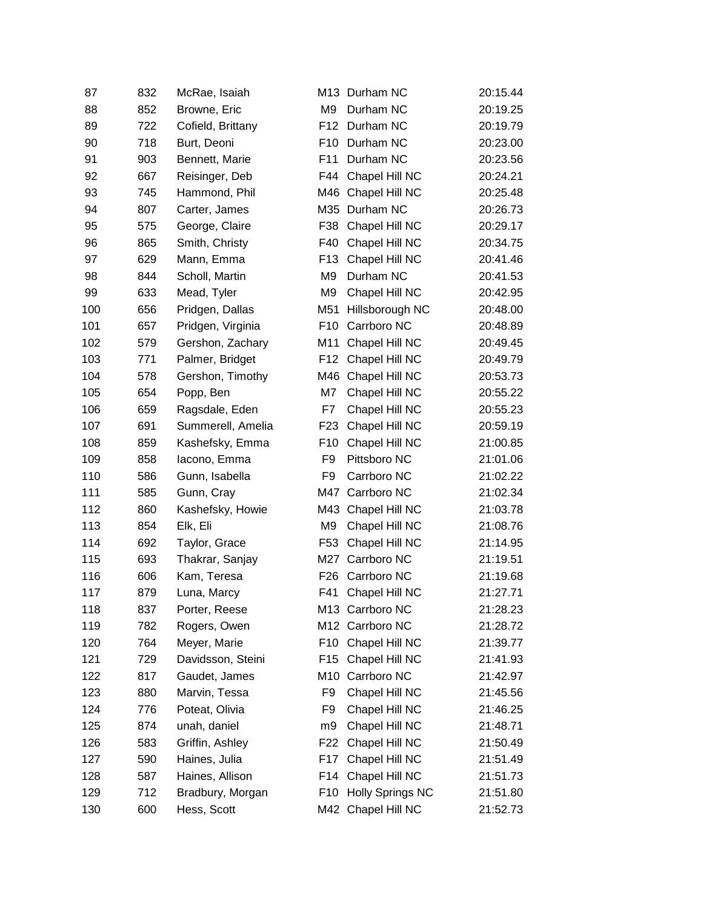| 87  | 832 | McRae, Isaiah     |                 | M13 Durham NC           | 20:15.44 |
|-----|-----|-------------------|-----------------|-------------------------|----------|
| 88  | 852 | Browne, Eric      | M <sub>9</sub>  | Durham NC               | 20:19.25 |
| 89  | 722 | Cofield, Brittany |                 | F12 Durham NC           | 20:19.79 |
| 90  | 718 | Burt, Deoni       | F <sub>10</sub> | Durham NC               | 20:23.00 |
| 91  | 903 | Bennett, Marie    | F11             | Durham NC               | 20:23.56 |
| 92  | 667 | Reisinger, Deb    | F44             | Chapel Hill NC          | 20:24.21 |
| 93  | 745 | Hammond, Phil     | M46             | Chapel Hill NC          | 20:25.48 |
| 94  | 807 | Carter, James     | M35             | Durham NC               | 20:26.73 |
| 95  | 575 | George, Claire    | F38             | Chapel Hill NC          | 20:29.17 |
| 96  | 865 | Smith, Christy    | F40             | Chapel Hill NC          | 20:34.75 |
| 97  | 629 | Mann, Emma        | F <sub>13</sub> | Chapel Hill NC          | 20:41.46 |
| 98  | 844 | Scholl, Martin    | M <sub>9</sub>  | Durham NC               | 20:41.53 |
| 99  | 633 | Mead, Tyler       | M <sub>9</sub>  | Chapel Hill NC          | 20:42.95 |
| 100 | 656 | Pridgen, Dallas   | M51             | Hillsborough NC         | 20:48.00 |
| 101 | 657 | Pridgen, Virginia | F <sub>10</sub> | Carrboro NC             | 20:48.89 |
| 102 | 579 | Gershon, Zachary  | M11             | Chapel Hill NC          | 20:49.45 |
| 103 | 771 | Palmer, Bridget   | F <sub>12</sub> | Chapel Hill NC          | 20:49.79 |
| 104 | 578 | Gershon, Timothy  | M46             | Chapel Hill NC          | 20:53.73 |
| 105 | 654 | Popp, Ben         | M7              | Chapel Hill NC          | 20:55.22 |
| 106 | 659 | Ragsdale, Eden    | F7              | Chapel Hill NC          | 20:55.23 |
| 107 | 691 | Summerell, Amelia | F <sub>23</sub> | Chapel Hill NC          | 20:59.19 |
| 108 | 859 | Kashefsky, Emma   | F <sub>10</sub> | Chapel Hill NC          | 21:00.85 |
| 109 | 858 | lacono, Emma      | F <sub>9</sub>  | Pittsboro NC            | 21:01.06 |
| 110 | 586 | Gunn, Isabella    | F9              | Carrboro NC             | 21:02.22 |
| 111 | 585 | Gunn, Cray        | M47             | Carrboro NC             | 21:02.34 |
| 112 | 860 | Kashefsky, Howie  | M43             | Chapel Hill NC          | 21:03.78 |
| 113 | 854 | Elk, Eli          | M <sub>9</sub>  | Chapel Hill NC          | 21:08.76 |
| 114 | 692 | Taylor, Grace     | F <sub>53</sub> | Chapel Hill NC          | 21:14.95 |
| 115 | 693 | Thakrar, Sanjay   | M27             | Carrboro NC             | 21:19.51 |
| 116 | 606 | Kam, Teresa       | F26             | Carrboro NC             | 21:19.68 |
| 117 | 879 | Luna, Marcy       | F41             | Chapel Hill NC          | 21:27.71 |
| 118 | 837 | Porter, Reese     |                 | M13 Carrboro NC         | 21:28.23 |
| 119 | 782 | Rogers, Owen      | M12             | Carrboro NC             | 21:28.72 |
| 120 | 764 | Meyer, Marie      | F10             | Chapel Hill NC          | 21:39.77 |
| 121 | 729 | Davidsson, Steini | F15             | Chapel Hill NC          | 21:41.93 |
| 122 | 817 | Gaudet, James     | M10             | Carrboro NC             | 21:42.97 |
| 123 | 880 | Marvin, Tessa     | F <sub>9</sub>  | Chapel Hill NC          | 21:45.56 |
| 124 | 776 | Poteat, Olivia    | F9              | Chapel Hill NC          | 21:46.25 |
| 125 | 874 | unah, daniel      | m <sub>9</sub>  | Chapel Hill NC          | 21:48.71 |
| 126 | 583 | Griffin, Ashley   | F22             | Chapel Hill NC          | 21:50.49 |
| 127 | 590 | Haines, Julia     | F17             | Chapel Hill NC          | 21:51.49 |
| 128 | 587 | Haines, Allison   | F14             | Chapel Hill NC          | 21:51.73 |
| 129 | 712 | Bradbury, Morgan  | F <sub>10</sub> | <b>Holly Springs NC</b> | 21:51.80 |
| 130 | 600 | Hess, Scott       |                 | M42 Chapel Hill NC      | 21:52.73 |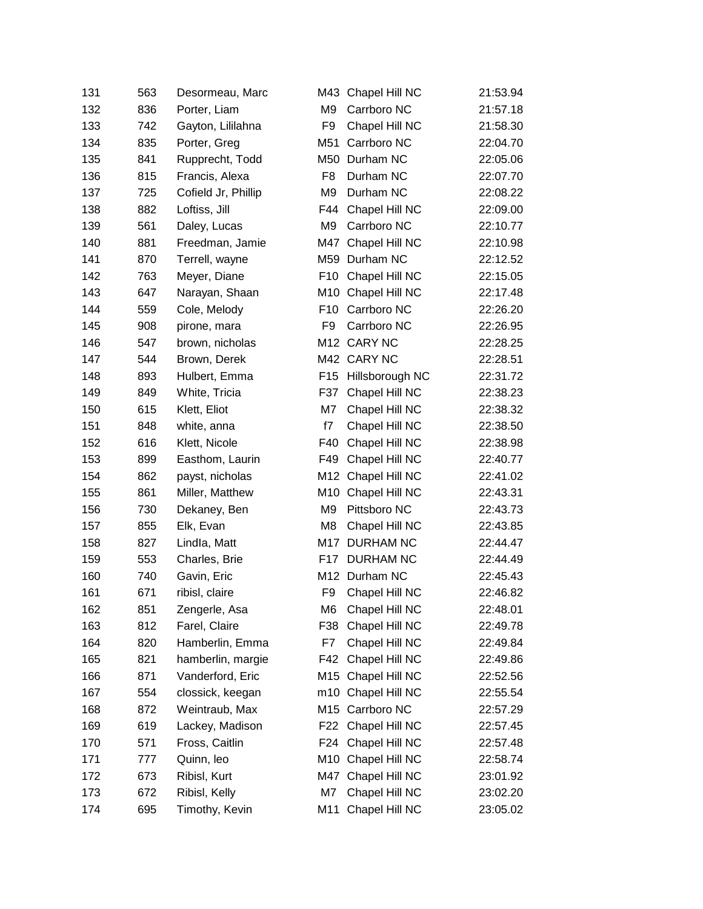| 131 | 563 | Desormeau, Marc     | M43             | Chapel Hill NC     | 21:53.94 |
|-----|-----|---------------------|-----------------|--------------------|----------|
| 132 | 836 | Porter, Liam        | M <sub>9</sub>  | Carrboro NC        | 21:57.18 |
| 133 | 742 | Gayton, Lililahna   | F9              | Chapel Hill NC     | 21:58.30 |
| 134 | 835 | Porter, Greg        | M51             | Carrboro NC        | 22:04.70 |
| 135 | 841 | Rupprecht, Todd     | M50             | Durham NC          | 22:05.06 |
| 136 | 815 | Francis, Alexa      | F8              | Durham NC          | 22:07.70 |
| 137 | 725 | Cofield Jr, Phillip | M <sub>9</sub>  | Durham NC          | 22:08.22 |
| 138 | 882 | Loftiss, Jill       | F44             | Chapel Hill NC     | 22:09.00 |
| 139 | 561 | Daley, Lucas        | M <sub>9</sub>  | Carrboro NC        | 22:10.77 |
| 140 | 881 | Freedman, Jamie     | M47             | Chapel Hill NC     | 22:10.98 |
| 141 | 870 | Terrell, wayne      | M59             | Durham NC          | 22:12.52 |
| 142 | 763 | Meyer, Diane        | F10             | Chapel Hill NC     | 22:15.05 |
| 143 | 647 | Narayan, Shaan      |                 | M10 Chapel Hill NC | 22:17.48 |
| 144 | 559 | Cole, Melody        | F <sub>10</sub> | Carrboro NC        | 22:26.20 |
| 145 | 908 | pirone, mara        | F <sub>9</sub>  | Carrboro NC        | 22:26.95 |
| 146 | 547 | brown, nicholas     | M12             | <b>CARY NC</b>     | 22:28.25 |
| 147 | 544 | Brown, Derek        |                 | M42 CARY NC        | 22:28.51 |
| 148 | 893 | Hulbert, Emma       | F <sub>15</sub> | Hillsborough NC    | 22:31.72 |
| 149 | 849 | White, Tricia       | F37             | Chapel Hill NC     | 22:38.23 |
| 150 | 615 | Klett, Eliot        | M7              | Chapel Hill NC     | 22:38.32 |
| 151 | 848 | white, anna         | f7              | Chapel Hill NC     | 22:38.50 |
| 152 | 616 | Klett, Nicole       | F40             | Chapel Hill NC     | 22:38.98 |
| 153 | 899 | Easthom, Laurin     | F49             | Chapel Hill NC     | 22:40.77 |
| 154 | 862 | payst, nicholas     |                 | M12 Chapel Hill NC | 22:41.02 |
| 155 | 861 | Miller, Matthew     | M10             | Chapel Hill NC     | 22:43.31 |
| 156 | 730 | Dekaney, Ben        | M <sub>9</sub>  | Pittsboro NC       | 22:43.73 |
| 157 | 855 | Elk, Evan           | M <sub>8</sub>  | Chapel Hill NC     | 22:43.85 |
| 158 | 827 | Lindla, Matt        | M17             | <b>DURHAM NC</b>   | 22:44.47 |
| 159 | 553 | Charles, Brie       | F <sub>17</sub> | <b>DURHAM NC</b>   | 22:44.49 |
| 160 | 740 | Gavin, Eric         | M12             | Durham NC          | 22:45.43 |
| 161 | 671 | ribisl, claire      | F9              | Chapel Hill NC     | 22:46.82 |
| 162 | 851 | Zengerle, Asa       | M6              | Chapel Hill NC     | 22:48.01 |
| 163 | 812 | Farel, Claire       | F38             | Chapel Hill NC     | 22:49.78 |
| 164 | 820 | Hamberlin, Emma     | F7              | Chapel Hill NC     | 22:49.84 |
| 165 | 821 | hamberlin, margie   | F42             | Chapel Hill NC     | 22:49.86 |
| 166 | 871 | Vanderford, Eric    | M15             | Chapel Hill NC     | 22:52.56 |
| 167 | 554 | clossick, keegan    | m10             | Chapel Hill NC     | 22:55.54 |
| 168 | 872 | Weintraub, Max      | M15             | Carrboro NC        | 22:57.29 |
| 169 | 619 | Lackey, Madison     |                 | F22 Chapel Hill NC | 22:57.45 |
| 170 | 571 | Fross, Caitlin      | F24             | Chapel Hill NC     | 22:57.48 |
| 171 | 777 | Quinn, leo          |                 | M10 Chapel Hill NC | 22:58.74 |
| 172 | 673 | Ribisl, Kurt        | M47             | Chapel Hill NC     | 23:01.92 |
| 173 | 672 | Ribisl, Kelly       | M7              | Chapel Hill NC     | 23:02.20 |
| 174 | 695 | Timothy, Kevin      | M11             | Chapel Hill NC     | 23:05.02 |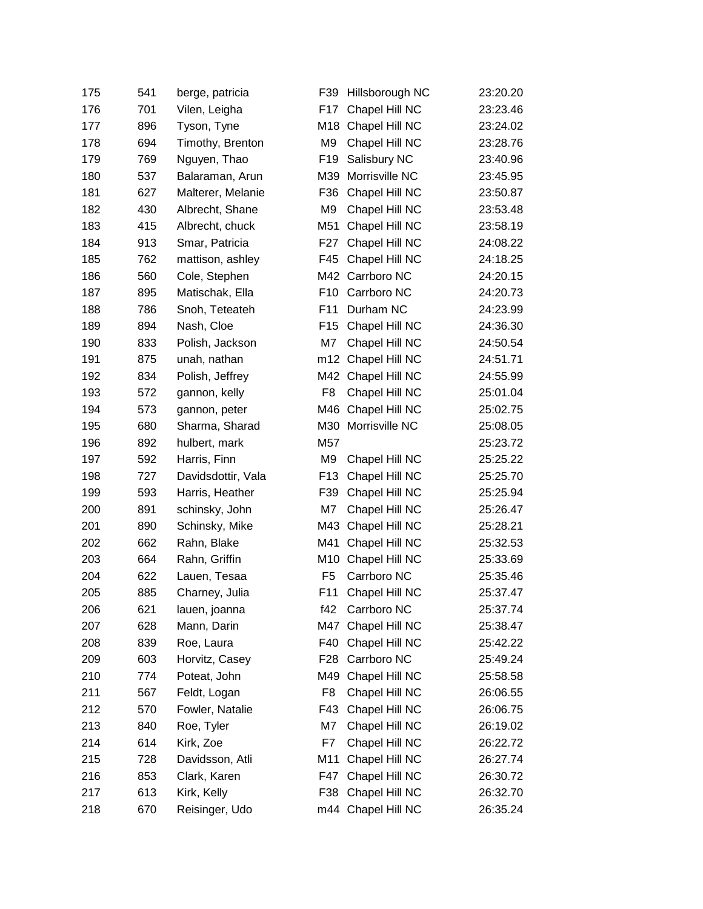| 175 | 541 | berge, patricia    | F39             | Hillsborough NC    | 23:20.20 |
|-----|-----|--------------------|-----------------|--------------------|----------|
| 176 | 701 | Vilen, Leigha      | F17             | Chapel Hill NC     | 23:23.46 |
| 177 | 896 | Tyson, Tyne        | M18             | Chapel Hill NC     | 23:24.02 |
| 178 | 694 | Timothy, Brenton   | M <sub>9</sub>  | Chapel Hill NC     | 23:28.76 |
| 179 | 769 | Nguyen, Thao       | F <sub>19</sub> | Salisbury NC       | 23:40.96 |
| 180 | 537 | Balaraman, Arun    | M39             | Morrisville NC     | 23:45.95 |
| 181 | 627 | Malterer, Melanie  | F36             | Chapel Hill NC     | 23:50.87 |
| 182 | 430 | Albrecht, Shane    | M <sub>9</sub>  | Chapel Hill NC     | 23:53.48 |
| 183 | 415 | Albrecht, chuck    | M51             | Chapel Hill NC     | 23:58.19 |
| 184 | 913 | Smar, Patricia     | F27             | Chapel Hill NC     | 24:08.22 |
| 185 | 762 | mattison, ashley   | F45             | Chapel Hill NC     | 24:18.25 |
| 186 | 560 | Cole, Stephen      |                 | M42 Carrboro NC    | 24:20.15 |
| 187 | 895 | Matischak, Ella    | F <sub>10</sub> | Carrboro NC        | 24:20.73 |
| 188 | 786 | Snoh, Teteateh     | F11             | Durham NC          | 24:23.99 |
| 189 | 894 | Nash, Cloe         | F <sub>15</sub> | Chapel Hill NC     | 24:36.30 |
| 190 | 833 | Polish, Jackson    | M7              | Chapel Hill NC     | 24:50.54 |
| 191 | 875 | unah, nathan       |                 | m12 Chapel Hill NC | 24:51.71 |
| 192 | 834 | Polish, Jeffrey    | M42             | Chapel Hill NC     | 24:55.99 |
| 193 | 572 | gannon, kelly      | F <sub>8</sub>  | Chapel Hill NC     | 25:01.04 |
| 194 | 573 | gannon, peter      | M46             | Chapel Hill NC     | 25:02.75 |
| 195 | 680 | Sharma, Sharad     | M30             | Morrisville NC     | 25:08.05 |
| 196 | 892 | hulbert, mark      | M57             |                    | 25:23.72 |
| 197 | 592 | Harris, Finn       | M <sub>9</sub>  | Chapel Hill NC     | 25:25.22 |
| 198 | 727 | Davidsdottir, Vala | F <sub>13</sub> | Chapel Hill NC     | 25:25.70 |
| 199 | 593 | Harris, Heather    | F39             | Chapel Hill NC     | 25:25.94 |
| 200 | 891 | schinsky, John     | M7              | Chapel Hill NC     | 25:26.47 |
| 201 | 890 | Schinsky, Mike     | M43             | Chapel Hill NC     | 25:28.21 |
| 202 | 662 | Rahn, Blake        | M41             | Chapel Hill NC     | 25:32.53 |
| 203 | 664 | Rahn, Griffin      | M10             | Chapel Hill NC     | 25:33.69 |
| 204 | 622 | Lauen, Tesaa       | F <sub>5</sub>  | Carrboro NC        | 25:35.46 |
| 205 | 885 | Charney, Julia     | F11             | Chapel Hill NC     | 25:37.47 |
| 206 | 621 | lauen, joanna      | f42             | Carrboro NC        | 25:37.74 |
| 207 | 628 | Mann, Darin        | M47             | Chapel Hill NC     | 25:38.47 |
| 208 | 839 | Roe, Laura         | F40             | Chapel Hill NC     | 25:42.22 |
| 209 | 603 | Horvitz, Casey     | F <sub>28</sub> | Carrboro NC        | 25:49.24 |
| 210 | 774 | Poteat, John       | M49             | Chapel Hill NC     | 25:58.58 |
| 211 | 567 | Feldt, Logan       | F <sub>8</sub>  | Chapel Hill NC     | 26:06.55 |
| 212 | 570 | Fowler, Natalie    | F43             | Chapel Hill NC     | 26:06.75 |
| 213 | 840 | Roe, Tyler         | M7              | Chapel Hill NC     | 26:19.02 |
| 214 | 614 | Kirk, Zoe          | F7              | Chapel Hill NC     | 26:22.72 |
| 215 | 728 | Davidsson, Atli    | M11             | Chapel Hill NC     | 26:27.74 |
| 216 | 853 | Clark, Karen       | F47             | Chapel Hill NC     | 26:30.72 |
| 217 | 613 | Kirk, Kelly        | F38             | Chapel Hill NC     | 26:32.70 |
| 218 | 670 | Reisinger, Udo     |                 | m44 Chapel Hill NC | 26:35.24 |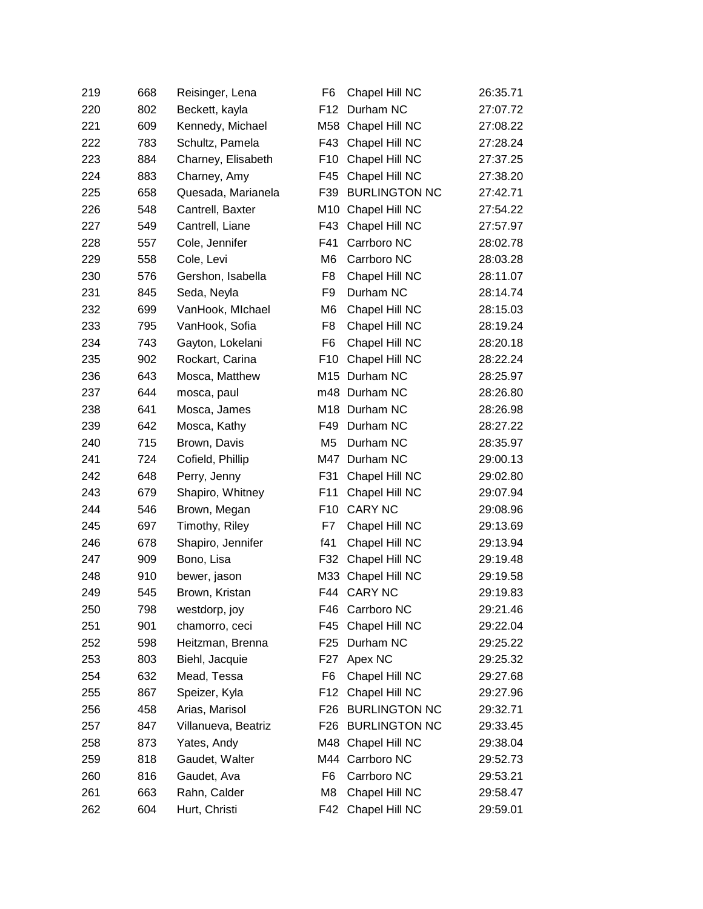| 219 | 668 | Reisinger, Lena     | F6               | Chapel Hill NC       | 26:35.71 |
|-----|-----|---------------------|------------------|----------------------|----------|
| 220 | 802 | Beckett, kayla      | F <sub>12</sub>  | Durham NC            | 27:07.72 |
| 221 | 609 | Kennedy, Michael    | M58              | Chapel Hill NC       | 27:08.22 |
| 222 | 783 | Schultz, Pamela     | F43              | Chapel Hill NC       | 27:28.24 |
| 223 | 884 | Charney, Elisabeth  | F <sub>10</sub>  | Chapel Hill NC       | 27:37.25 |
| 224 | 883 | Charney, Amy        | F45              | Chapel Hill NC       | 27:38.20 |
| 225 | 658 | Quesada, Marianela  | F39              | <b>BURLINGTON NC</b> | 27:42.71 |
| 226 | 548 | Cantrell, Baxter    | M10              | Chapel Hill NC       | 27:54.22 |
| 227 | 549 | Cantrell, Liane     | F43              | Chapel Hill NC       | 27:57.97 |
| 228 | 557 | Cole, Jennifer      | F41              | Carrboro NC          | 28:02.78 |
| 229 | 558 | Cole, Levi          | M <sub>6</sub>   | Carrboro NC          | 28:03.28 |
| 230 | 576 | Gershon, Isabella   | F <sub>8</sub>   | Chapel Hill NC       | 28:11.07 |
| 231 | 845 | Seda, Neyla         | F <sub>9</sub>   | Durham NC            | 28:14.74 |
| 232 | 699 | VanHook, Michael    | M <sub>6</sub>   | Chapel Hill NC       | 28:15.03 |
| 233 | 795 | VanHook, Sofia      | F <sub>8</sub>   | Chapel Hill NC       | 28:19.24 |
| 234 | 743 | Gayton, Lokelani    | F <sub>6</sub>   | Chapel Hill NC       | 28:20.18 |
| 235 | 902 | Rockart, Carina     | F <sub>10</sub>  | Chapel Hill NC       | 28:22.24 |
| 236 | 643 | Mosca, Matthew      |                  | M15 Durham NC        | 28:25.97 |
| 237 | 644 | mosca, paul         |                  | m48 Durham NC        | 28:26.80 |
| 238 | 641 | Mosca, James        |                  | M18 Durham NC        | 28:26.98 |
| 239 | 642 | Mosca, Kathy        | F49              | Durham NC            | 28:27.22 |
| 240 | 715 | Brown, Davis        | M <sub>5</sub>   | Durham NC            | 28:35.97 |
| 241 | 724 | Cofield, Phillip    | M47              | Durham NC            | 29:00.13 |
| 242 | 648 | Perry, Jenny        | F31              | Chapel Hill NC       | 29:02.80 |
| 243 | 679 | Shapiro, Whitney    | F11              | Chapel Hill NC       | 29:07.94 |
| 244 | 546 | Brown, Megan        | F <sub>10</sub>  | <b>CARY NC</b>       | 29:08.96 |
| 245 | 697 | Timothy, Riley      | F7               | Chapel Hill NC       | 29:13.69 |
| 246 | 678 | Shapiro, Jennifer   | f41              | Chapel Hill NC       | 29:13.94 |
| 247 | 909 | Bono, Lisa          | F32              | Chapel Hill NC       | 29:19.48 |
| 248 | 910 | bewer, jason        | M33              | Chapel Hill NC       | 29:19.58 |
| 249 | 545 | Brown, Kristan      | F44              | <b>CARY NC</b>       | 29:19.83 |
| 250 | 798 | westdorp, joy       | F46              | Carrboro NC          | 29:21.46 |
| 251 | 901 | chamorro, ceci      | F45              | Chapel Hill NC       | 29:22.04 |
| 252 | 598 | Heitzman, Brenna    | F25              | Durham NC            | 29:25.22 |
| 253 | 803 | Biehl, Jacquie      | F <sub>2</sub> 7 | Apex NC              | 29:25.32 |
| 254 | 632 | Mead, Tessa         | F6               | Chapel Hill NC       | 29:27.68 |
| 255 | 867 | Speizer, Kyla       | F12              | Chapel Hill NC       | 29:27.96 |
| 256 | 458 | Arias, Marisol      | F <sub>26</sub>  | <b>BURLINGTON NC</b> | 29:32.71 |
| 257 | 847 | Villanueva, Beatriz | F26              | <b>BURLINGTON NC</b> | 29:33.45 |
| 258 | 873 | Yates, Andy         | M48              | Chapel Hill NC       | 29:38.04 |
| 259 | 818 | Gaudet, Walter      |                  | M44 Carrboro NC      | 29:52.73 |
| 260 | 816 | Gaudet, Ava         | F <sub>6</sub>   | Carrboro NC          | 29:53.21 |
| 261 | 663 | Rahn, Calder        | M <sub>8</sub>   | Chapel Hill NC       | 29:58.47 |
| 262 | 604 | Hurt, Christi       | F42              | Chapel Hill NC       | 29:59.01 |
|     |     |                     |                  |                      |          |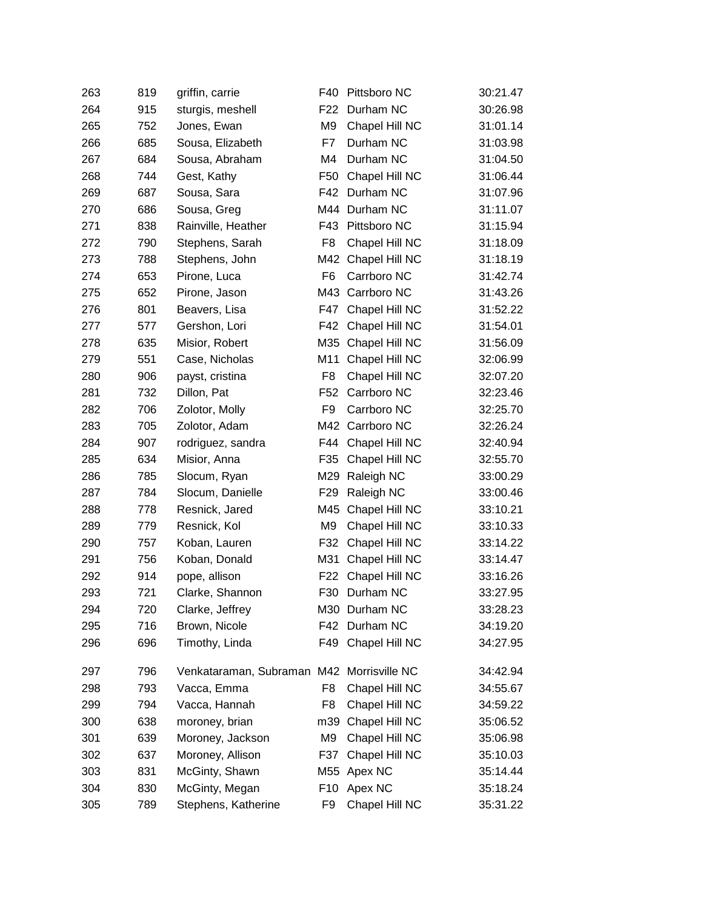| 263 | 819 | griffin, carrie                           | F40             | Pittsboro NC   | 30:21.47 |
|-----|-----|-------------------------------------------|-----------------|----------------|----------|
| 264 | 915 | sturgis, meshell                          | F <sub>22</sub> | Durham NC      | 30:26.98 |
| 265 | 752 | Jones, Ewan                               | M <sub>9</sub>  | Chapel Hill NC | 31:01.14 |
| 266 | 685 | Sousa, Elizabeth                          | F7              | Durham NC      | 31:03.98 |
| 267 | 684 | Sousa, Abraham                            | M4              | Durham NC      | 31:04.50 |
| 268 | 744 | Gest, Kathy                               | F <sub>50</sub> | Chapel Hill NC | 31:06.44 |
| 269 | 687 | Sousa, Sara                               | F42             | Durham NC      | 31:07.96 |
| 270 | 686 | Sousa, Greg                               | M44             | Durham NC      | 31:11.07 |
| 271 | 838 | Rainville, Heather                        | F43             | Pittsboro NC   | 31:15.94 |
| 272 | 790 | Stephens, Sarah                           | F <sub>8</sub>  | Chapel Hill NC | 31:18.09 |
| 273 | 788 | Stephens, John                            | M42             | Chapel Hill NC | 31:18.19 |
| 274 | 653 | Pirone, Luca                              | F <sub>6</sub>  | Carrboro NC    | 31:42.74 |
| 275 | 652 | Pirone, Jason                             | M43             | Carrboro NC    | 31:43.26 |
| 276 | 801 | Beavers, Lisa                             | F47             | Chapel Hill NC | 31:52.22 |
| 277 | 577 | Gershon, Lori                             | F42             | Chapel Hill NC | 31:54.01 |
| 278 | 635 | Misior, Robert                            | M35             | Chapel Hill NC | 31:56.09 |
| 279 | 551 | Case, Nicholas                            | M11             | Chapel Hill NC | 32:06.99 |
| 280 | 906 | payst, cristina                           | F8              | Chapel Hill NC | 32:07.20 |
| 281 | 732 | Dillon, Pat                               | F <sub>52</sub> | Carrboro NC    | 32:23.46 |
| 282 | 706 | Zolotor, Molly                            | F <sub>9</sub>  | Carrboro NC    | 32:25.70 |
| 283 | 705 | Zolotor, Adam                             | M42             | Carrboro NC    | 32:26.24 |
| 284 | 907 | rodriguez, sandra                         | F44             | Chapel Hill NC | 32:40.94 |
| 285 | 634 | Misior, Anna                              | F35             | Chapel Hill NC | 32:55.70 |
| 286 | 785 | Slocum, Ryan                              | M29             | Raleigh NC     | 33:00.29 |
| 287 | 784 | Slocum, Danielle                          | F <sub>29</sub> | Raleigh NC     | 33:00.46 |
| 288 | 778 | Resnick, Jared                            | M45             | Chapel Hill NC | 33:10.21 |
| 289 | 779 | Resnick, Kol                              | M <sub>9</sub>  | Chapel Hill NC | 33:10.33 |
| 290 | 757 | Koban, Lauren                             | F32             | Chapel Hill NC | 33:14.22 |
| 291 | 756 | Koban, Donald                             | M31             | Chapel Hill NC | 33:14.47 |
| 292 | 914 | pope, allison                             | F <sub>22</sub> | Chapel Hill NC | 33:16.26 |
| 293 | 721 | Clarke, Shannon                           | F30             | Durham NC      | 33:27.95 |
| 294 | 720 | Clarke, Jeffrey                           |                 | M30 Durham NC  | 33:28.23 |
| 295 | 716 | Brown, Nicole                             | F42             | Durham NC      | 34:19.20 |
| 296 | 696 | Timothy, Linda                            | F49             | Chapel Hill NC | 34:27.95 |
| 297 | 796 | Venkataraman, Subraman M42 Morrisville NC |                 |                | 34:42.94 |
| 298 | 793 | Vacca, Emma                               | F8              | Chapel Hill NC | 34:55.67 |
| 299 | 794 | Vacca, Hannah                             | F <sub>8</sub>  | Chapel Hill NC | 34:59.22 |
| 300 | 638 | moroney, brian                            | m39             | Chapel Hill NC | 35:06.52 |
| 301 | 639 | Moroney, Jackson                          | M9              | Chapel Hill NC | 35:06.98 |
| 302 | 637 | Moroney, Allison                          | F37             | Chapel Hill NC | 35:10.03 |
| 303 | 831 | McGinty, Shawn                            | M55             | Apex NC        | 35:14.44 |
| 304 | 830 | McGinty, Megan                            | F <sub>10</sub> | Apex NC        | 35:18.24 |
| 305 | 789 | Stephens, Katherine                       | F9              | Chapel Hill NC | 35:31.22 |